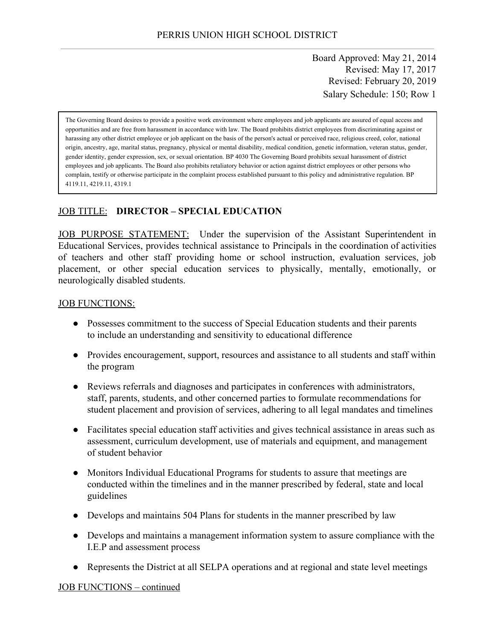Board Approved: May 21, 2014 Revised: May 17, 2017 Revised: February 20, 2019 Salary Schedule: 150; Row 1

The Governing Board desires to provide a positive work environment where employees and job applicants are assured of equal access and opportunities and are free from harassment in accordance with law. The Board prohibits district employees from discriminating against or harassing any other district employee or job applicant on the basis of the person's actual or perceived race, religious creed, color, national origin, ancestry, age, marital status, pregnancy, physical or mental disability, medical condition, genetic information, veteran status, gender, gender identity, gender expression, sex, or sexual orientation. BP 4030 The Governing Board prohibits sexual harassment of district employees and job applicants. The Board also prohibits retaliatory behavior or action against district employees or other persons who complain, testify or otherwise participate in the complaint process established pursuant to this policy and administrative regulation. BP 4119.11, 4219.11, 4319.1

### JOB TITLE: **DIRECTOR – SPECIAL EDUCATION**

JOB PURPOSE STATEMENT: Under the supervision of the Assistant Superintendent in Educational Services, provides technical assistance to Principals in the coordination of activities of teachers and other staff providing home or school instruction, evaluation services, job placement, or other special education services to physically, mentally, emotionally, or neurologically disabled students.

#### JOB FUNCTIONS:

- Possesses commitment to the success of Special Education students and their parents to include an understanding and sensitivity to educational difference
- Provides encouragement, support, resources and assistance to all students and staff within the program
- Reviews referrals and diagnoses and participates in conferences with administrators, staff, parents, students, and other concerned parties to formulate recommendations for student placement and provision of services, adhering to all legal mandates and timelines
- Facilitates special education staff activities and gives technical assistance in areas such as assessment, curriculum development, use of materials and equipment, and management of student behavior
- Monitors Individual Educational Programs for students to assure that meetings are conducted within the timelines and in the manner prescribed by federal, state and local guidelines
- Develops and maintains 504 Plans for students in the manner prescribed by law
- Develops and maintains a management information system to assure compliance with the I.E.P and assessment process
- Represents the District at all SELPA operations and at regional and state level meetings

#### JOB FUNCTIONS – continued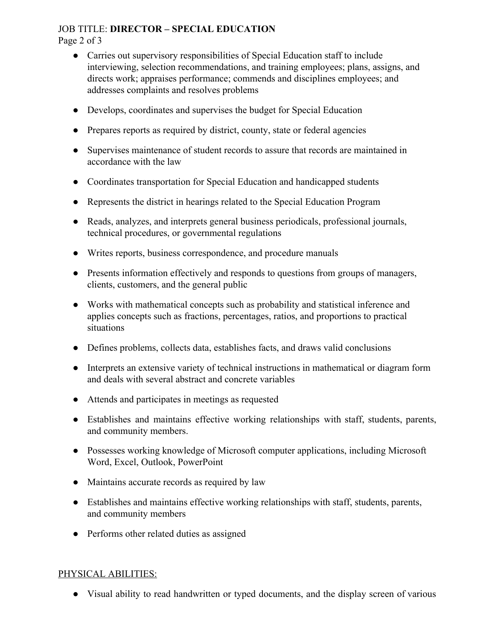#### JOB TITLE: **DIRECTOR – SPECIAL EDUCATION** Page 2 of 3

- Carries out supervisory responsibilities of Special Education staff to include interviewing, selection recommendations, and training employees; plans, assigns, and directs work; appraises performance; commends and disciplines employees; and addresses complaints and resolves problems
- Develops, coordinates and supervises the budget for Special Education
- Prepares reports as required by district, county, state or federal agencies
- Supervises maintenance of student records to assure that records are maintained in accordance with the law
- Coordinates transportation for Special Education and handicapped students
- Represents the district in hearings related to the Special Education Program
- Reads, analyzes, and interprets general business periodicals, professional journals, technical procedures, or governmental regulations
- Writes reports, business correspondence, and procedure manuals
- Presents information effectively and responds to questions from groups of managers, clients, customers, and the general public
- Works with mathematical concepts such as probability and statistical inference and applies concepts such as fractions, percentages, ratios, and proportions to practical situations
- Defines problems, collects data, establishes facts, and draws valid conclusions
- Interprets an extensive variety of technical instructions in mathematical or diagram form and deals with several abstract and concrete variables
- Attends and participates in meetings as requested
- Establishes and maintains effective working relationships with staff, students, parents, and community members.
- Possesses working knowledge of Microsoft computer applications, including Microsoft Word, Excel, Outlook, PowerPoint
- Maintains accurate records as required by law
- Establishes and maintains effective working relationships with staff, students, parents, and community members
- Performs other related duties as assigned

#### PHYSICAL ABILITIES:

• Visual ability to read handwritten or typed documents, and the display screen of various